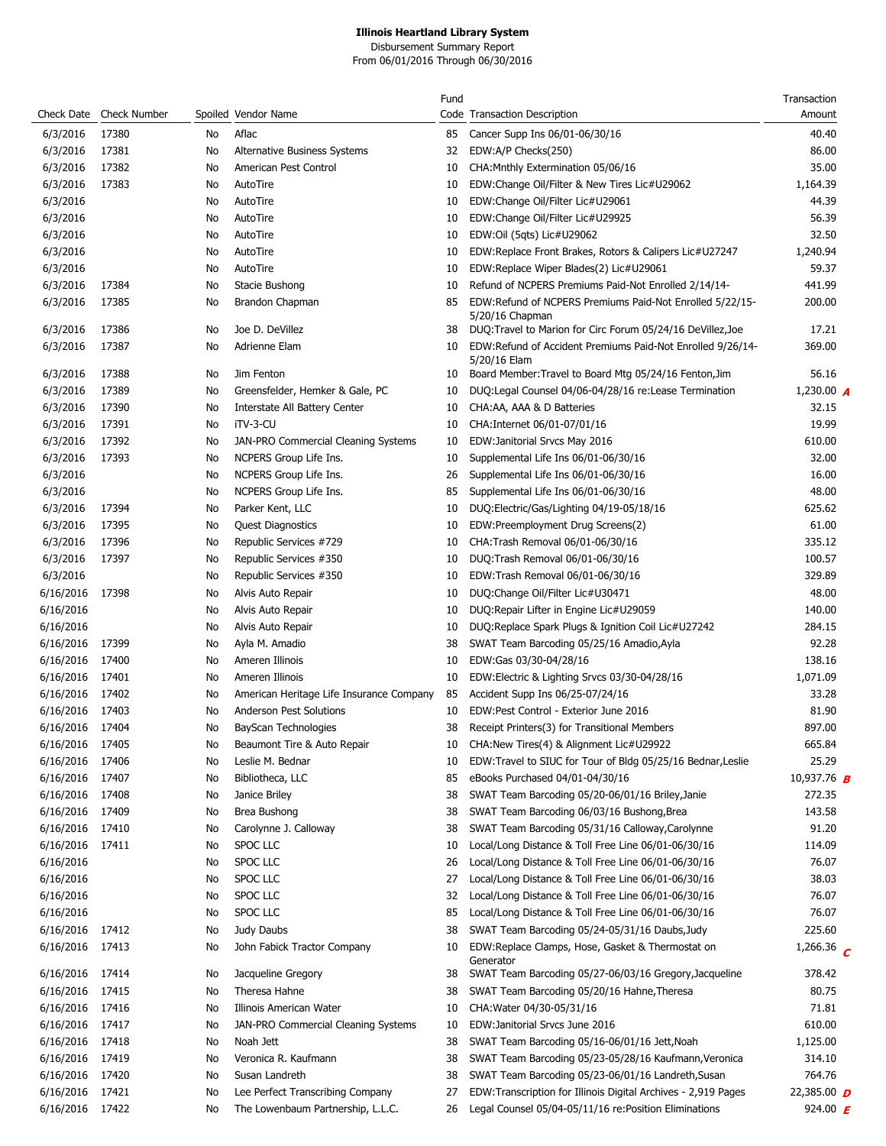|                 |                         |    |                                          | Fund |                                                                             | Transaction               |
|-----------------|-------------------------|----|------------------------------------------|------|-----------------------------------------------------------------------------|---------------------------|
|                 | Check Date Check Number |    | Spoiled Vendor Name                      |      | Code Transaction Description                                                | Amount                    |
| 6/3/2016        | 17380                   | No | Aflac                                    | 85   | Cancer Supp Ins 06/01-06/30/16                                              | 40.40                     |
| 6/3/2016        | 17381                   | No | Alternative Business Systems             | 32   | EDW:A/P Checks(250)                                                         | 86.00                     |
| 6/3/2016        | 17382                   | No | American Pest Control                    | 10   | CHA: Mnthly Extermination 05/06/16                                          | 35.00                     |
| 6/3/2016        | 17383                   | No | AutoTire                                 | 10   | EDW:Change Oil/Filter & New Tires Lic#U29062                                | 1,164.39                  |
| 6/3/2016        |                         | No | AutoTire                                 | 10   | EDW:Change Oil/Filter Lic#U29061                                            | 44.39                     |
| 6/3/2016        |                         | No | AutoTire                                 | 10   | EDW:Change Oil/Filter Lic#U29925                                            | 56.39                     |
| 6/3/2016        |                         | No | AutoTire                                 | 10   | EDW:Oil (5qts) Lic#U29062                                                   | 32.50                     |
| 6/3/2016        |                         | No | AutoTire                                 | 10   | EDW:Replace Front Brakes, Rotors & Calipers Lic#U27247                      | 1,240.94                  |
| 6/3/2016        |                         | No | AutoTire                                 | 10   | EDW:Replace Wiper Blades(2) Lic#U29061                                      | 59.37                     |
| 6/3/2016        | 17384                   | No | Stacie Bushong                           | 10   | Refund of NCPERS Premiums Paid-Not Enrolled 2/14/14-                        | 441.99                    |
| 6/3/2016        | 17385                   | No | Brandon Chapman                          | 85   | EDW:Refund of NCPERS Premiums Paid-Not Enrolled 5/22/15-<br>5/20/16 Chapman | 200.00                    |
| 6/3/2016        | 17386                   | No | Joe D. DeVillez                          | 38   | DUQ:Travel to Marion for Circ Forum 05/24/16 DeVillez, Joe                  | 17.21                     |
| 6/3/2016        | 17387                   | No | Adrienne Elam                            | 10   | EDW:Refund of Accident Premiums Paid-Not Enrolled 9/26/14-<br>5/20/16 Elam  | 369.00                    |
| 6/3/2016        | 17388                   | No | Jim Fenton                               | 10   | Board Member: Travel to Board Mtg 05/24/16 Fenton, Jim                      | 56.16                     |
| 6/3/2016        | 17389                   | No | Greensfelder, Hemker & Gale, PC          | 10   | DUQ:Legal Counsel 04/06-04/28/16 re:Lease Termination                       | 1,230.00 $\blacktriangle$ |
| 6/3/2016        | 17390                   | No | Interstate All Battery Center            | 10   | CHA:AA, AAA & D Batteries                                                   | 32.15                     |
| 6/3/2016        | 17391                   | No | iTV-3-CU                                 | 10   | CHA:Internet 06/01-07/01/16                                                 | 19.99                     |
| 6/3/2016        | 17392                   | No | JAN-PRO Commercial Cleaning Systems      | 10   | EDW: Janitorial Srvcs May 2016                                              | 610.00                    |
| 6/3/2016        | 17393                   | No | NCPERS Group Life Ins.                   | 10   | Supplemental Life Ins 06/01-06/30/16                                        | 32.00                     |
| 6/3/2016        |                         | No | NCPERS Group Life Ins.                   | 26   | Supplemental Life Ins 06/01-06/30/16                                        | 16.00                     |
| 6/3/2016        |                         | No | NCPERS Group Life Ins.                   | 85   | Supplemental Life Ins 06/01-06/30/16                                        | 48.00                     |
| 6/3/2016        | 17394                   | No | Parker Kent, LLC                         | 10   | DUQ:Electric/Gas/Lighting 04/19-05/18/16                                    | 625.62                    |
| 6/3/2016        | 17395                   | No | <b>Quest Diagnostics</b>                 | 10   | EDW:Preemployment Drug Screens(2)                                           | 61.00                     |
| 6/3/2016        | 17396                   | No | Republic Services #729                   | 10   | CHA: Trash Removal 06/01-06/30/16                                           | 335.12                    |
| 6/3/2016        | 17397                   | No | Republic Services #350                   | 10   | DUQ:Trash Removal 06/01-06/30/16                                            | 100.57                    |
| 6/3/2016        |                         | No | Republic Services #350                   | 10   | EDW:Trash Removal 06/01-06/30/16                                            | 329.89                    |
| 6/16/2016       | 17398                   | No | Alvis Auto Repair                        | 10   | DUQ:Change Oil/Filter Lic#U30471                                            | 48.00                     |
| 6/16/2016       |                         | No | Alvis Auto Repair                        | 10   | DUQ: Repair Lifter in Engine Lic#U29059                                     | 140.00                    |
| 6/16/2016       |                         | No | Alvis Auto Repair                        | 10   | DUQ:Replace Spark Plugs & Ignition Coil Lic#U27242                          | 284.15                    |
| 6/16/2016       | 17399                   | No | Ayla M. Amadio                           | 38   | SWAT Team Barcoding 05/25/16 Amadio, Ayla                                   | 92.28                     |
| 6/16/2016       | 17400                   | No | Ameren Illinois                          | 10   | EDW:Gas 03/30-04/28/16                                                      | 138.16                    |
| 6/16/2016       | 17401                   | No | Ameren Illinois                          | 10   | EDW: Electric & Lighting Srvcs 03/30-04/28/16                               | 1,071.09                  |
| 6/16/2016       | 17402                   | No | American Heritage Life Insurance Company | 85   | Accident Supp Ins 06/25-07/24/16                                            | 33.28                     |
| 6/16/2016       | 17403                   | No | Anderson Pest Solutions                  | 10   | EDW:Pest Control - Exterior June 2016                                       | 81.90                     |
| 6/16/2016 17404 |                         | No | BayScan Technologies                     | 38   | Receipt Printers(3) for Transitional Members                                | 897.00                    |
| 6/16/2016 17405 |                         | No | Beaumont Tire & Auto Repair              |      | 10 CHA:New Tires(4) & Alignment Lic#U29922                                  | 665.84                    |
| 6/16/2016       | 17406                   | No | Leslie M. Bednar                         | 10   | EDW:Travel to SIUC for Tour of Bldg 05/25/16 Bednar, Leslie                 | 25.29                     |
| 6/16/2016       | 17407                   | No | Bibliotheca, LLC                         | 85   | eBooks Purchased 04/01-04/30/16                                             | 10,937.76 <b>B</b>        |
| 6/16/2016       | 17408                   | No | Janice Briley                            | 38   | SWAT Team Barcoding 05/20-06/01/16 Briley, Janie                            | 272.35                    |
| 6/16/2016       | 17409                   | No | Brea Bushong                             | 38   | SWAT Team Barcoding 06/03/16 Bushong, Brea                                  | 143.58                    |
| 6/16/2016       | 17410                   | No | Carolynne J. Calloway                    | 38   | SWAT Team Barcoding 05/31/16 Calloway, Carolynne                            | 91.20                     |
| 6/16/2016       | 17411                   | No | SPOC LLC                                 | 10   | Local/Long Distance & Toll Free Line 06/01-06/30/16                         | 114.09                    |
| 6/16/2016       |                         | No | SPOC LLC                                 | 26   | Local/Long Distance & Toll Free Line 06/01-06/30/16                         | 76.07                     |
| 6/16/2016       |                         | No | SPOC LLC                                 | 27   | Local/Long Distance & Toll Free Line 06/01-06/30/16                         | 38.03                     |
| 6/16/2016       |                         | No | SPOC LLC                                 | 32   | Local/Long Distance & Toll Free Line 06/01-06/30/16                         | 76.07                     |
| 6/16/2016       |                         | No | SPOC LLC                                 | 85   | Local/Long Distance & Toll Free Line 06/01-06/30/16                         | 76.07                     |
| 6/16/2016       | 17412                   | No | Judy Daubs                               | 38   | SWAT Team Barcoding 05/24-05/31/16 Daubs, Judy                              | 225.60                    |
| 6/16/2016 17413 |                         | No | John Fabick Tractor Company              | 10   | EDW:Replace Clamps, Hose, Gasket & Thermostat on<br>Generator               | 1,266.36 $C$              |
| 6/16/2016 17414 |                         | No | Jacqueline Gregory                       | 38   | SWAT Team Barcoding 05/27-06/03/16 Gregory, Jacqueline                      | 378.42                    |
| 6/16/2016       | 17415                   | No | Theresa Hahne                            | 38   | SWAT Team Barcoding 05/20/16 Hahne, Theresa                                 | 80.75                     |
| 6/16/2016       | 17416                   | No | Illinois American Water                  | 10   | CHA: Water 04/30-05/31/16                                                   | 71.81                     |
| 6/16/2016       | 17417                   | No | JAN-PRO Commercial Cleaning Systems      | 10   | EDW:Janitorial Srvcs June 2016                                              | 610.00                    |
| 6/16/2016       | 17418                   | No | Noah Jett                                | 38   | SWAT Team Barcoding 05/16-06/01/16 Jett, Noah                               | 1,125.00                  |
| 6/16/2016       | 17419                   | No | Veronica R. Kaufmann                     | 38   | SWAT Team Barcoding 05/23-05/28/16 Kaufmann, Veronica                       | 314.10                    |
| 6/16/2016       | 17420                   | No | Susan Landreth                           | 38   | SWAT Team Barcoding 05/23-06/01/16 Landreth, Susan                          | 764.76                    |
| 6/16/2016       | 17421                   | No | Lee Perfect Transcribing Company         | 27   | EDW:Transcription for Illinois Digital Archives - 2,919 Pages               | 22,385.00 $D$             |
| 6/16/2016 17422 |                         | No | The Lowenbaum Partnership, L.L.C.        | 26   | Legal Counsel 05/04-05/11/16 re:Position Eliminations                       | 924.00 $\bm{F}$           |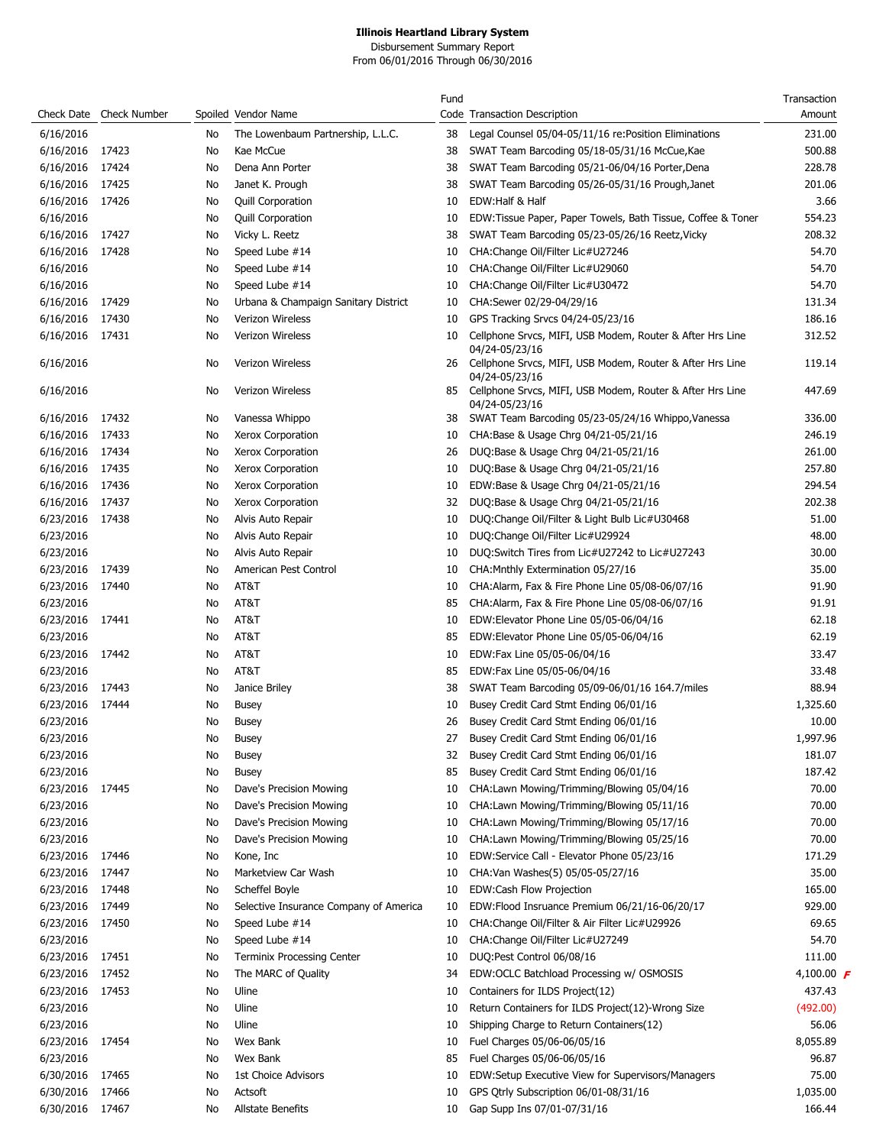|                 |                         |    |                                        | Fund |                                                                                               | Transaction       |
|-----------------|-------------------------|----|----------------------------------------|------|-----------------------------------------------------------------------------------------------|-------------------|
|                 | Check Date Check Number |    | Spoiled Vendor Name                    |      | Code Transaction Description                                                                  | Amount            |
| 6/16/2016       |                         | No | The Lowenbaum Partnership, L.L.C.      | 38   | Legal Counsel 05/04-05/11/16 re: Position Eliminations                                        | 231.00            |
| 6/16/2016       | 17423                   | No | Kae McCue                              | 38   | SWAT Team Barcoding 05/18-05/31/16 McCue, Kae                                                 | 500.88            |
| 6/16/2016       | 17424                   | No | Dena Ann Porter                        | 38   | SWAT Team Barcoding 05/21-06/04/16 Porter, Dena                                               | 228.78            |
| 6/16/2016       | 17425                   | No | Janet K. Prough                        | 38   | SWAT Team Barcoding 05/26-05/31/16 Prough, Janet                                              | 201.06            |
| 6/16/2016       | 17426                   | No | <b>Quill Corporation</b>               | 10   | EDW:Half & Half                                                                               | 3.66              |
| 6/16/2016       |                         | No | <b>Quill Corporation</b>               | 10   | EDW:Tissue Paper, Paper Towels, Bath Tissue, Coffee & Toner                                   | 554.23            |
| 6/16/2016       | 17427                   | No | Vicky L. Reetz                         | 38   | SWAT Team Barcoding 05/23-05/26/16 Reetz, Vicky                                               | 208.32            |
| 6/16/2016       | 17428                   | No | Speed Lube #14                         | 10   | CHA:Change Oil/Filter Lic#U27246                                                              | 54.70             |
| 6/16/2016       |                         |    | Speed Lube #14                         |      | CHA:Change Oil/Filter Lic#U29060                                                              | 54.70             |
|                 |                         | No |                                        | 10   |                                                                                               |                   |
| 6/16/2016       |                         | No | Speed Lube #14                         | 10   | CHA:Change Oil/Filter Lic#U30472                                                              | 54.70             |
| 6/16/2016       | 17429                   | No | Urbana & Champaign Sanitary District   | 10   | CHA:Sewer 02/29-04/29/16                                                                      | 131.34            |
| 6/16/2016       | 17430                   | No | Verizon Wireless                       | 10   | GPS Tracking Srvcs 04/24-05/23/16                                                             | 186.16            |
| 6/16/2016       | 17431                   | No | Verizon Wireless                       | 10   | Cellphone Srvcs, MIFI, USB Modem, Router & After Hrs Line                                     | 312.52            |
| 6/16/2016       |                         | No | Verizon Wireless                       | 26   | 04/24-05/23/16<br>Cellphone Srvcs, MIFI, USB Modem, Router & After Hrs Line<br>04/24-05/23/16 | 119.14            |
| 6/16/2016       |                         | No | Verizon Wireless                       |      | 85 Cellphone Srvcs, MIFI, USB Modem, Router & After Hrs Line<br>04/24-05/23/16                | 447.69            |
| 6/16/2016       | 17432                   | No | Vanessa Whippo                         | 38   | SWAT Team Barcoding 05/23-05/24/16 Whippo, Vanessa                                            | 336.00            |
| 6/16/2016       | 17433                   | No | Xerox Corporation                      | 10   | CHA:Base & Usage Chrg 04/21-05/21/16                                                          | 246.19            |
| 6/16/2016       | 17434                   | No | Xerox Corporation                      | 26   | DUQ:Base & Usage Chrg 04/21-05/21/16                                                          | 261.00            |
| 6/16/2016       | 17435                   | No | Xerox Corporation                      | 10   | DUQ:Base & Usage Chrg 04/21-05/21/16                                                          | 257.80            |
| 6/16/2016 17436 |                         | No | Xerox Corporation                      | 10   | EDW:Base & Usage Chrg 04/21-05/21/16                                                          | 294.54            |
| 6/16/2016       | 17437                   | No | Xerox Corporation                      | 32   | DUQ:Base & Usage Chrg 04/21-05/21/16                                                          | 202.38            |
| 6/23/2016       | 17438                   | No | Alvis Auto Repair                      | 10   | DUQ:Change Oil/Filter & Light Bulb Lic#U30468                                                 | 51.00             |
| 6/23/2016       |                         |    |                                        | 10   | DUQ:Change Oil/Filter Lic#U29924                                                              | 48.00             |
|                 |                         | No | Alvis Auto Repair                      |      |                                                                                               |                   |
| 6/23/2016       |                         | No | Alvis Auto Repair                      | 10   | DUQ:Switch Tires from Lic#U27242 to Lic#U27243                                                | 30.00             |
| 6/23/2016       | 17439                   | No | American Pest Control                  | 10   | CHA: Mnthly Extermination 05/27/16                                                            | 35.00             |
| 6/23/2016       | 17440                   | No | AT&T                                   | 10   | CHA:Alarm, Fax & Fire Phone Line 05/08-06/07/16                                               | 91.90             |
| 6/23/2016       |                         | No | AT&T                                   | 85   | CHA:Alarm, Fax & Fire Phone Line 05/08-06/07/16                                               | 91.91             |
| 6/23/2016       | 17441                   | No | AT&T                                   | 10   | EDW:Elevator Phone Line 05/05-06/04/16                                                        | 62.18             |
| 6/23/2016       |                         | No | AT&T                                   | 85   | EDW:Elevator Phone Line 05/05-06/04/16                                                        | 62.19             |
| 6/23/2016       | 17442                   | No | AT&T                                   | 10   | EDW:Fax Line 05/05-06/04/16                                                                   | 33.47             |
| 6/23/2016       |                         | No | AT&T                                   | 85   | EDW:Fax Line 05/05-06/04/16                                                                   | 33.48             |
| 6/23/2016       | 17443                   | No | Janice Briley                          | 38   | SWAT Team Barcoding 05/09-06/01/16 164.7/miles                                                | 88.94             |
| 6/23/2016       | 17444                   | No | <b>Busey</b>                           | 10   | Busey Credit Card Stmt Ending 06/01/16                                                        | 1,325.60          |
| 6/23/2016       |                         | No | <b>Busey</b>                           | 26   | Busey Credit Card Stmt Ending 06/01/16                                                        | 10.00             |
| 6/23/2016       |                         | No | <b>Busey</b>                           | 27   | Busey Credit Card Stmt Ending 06/01/16                                                        | 1,997.96          |
| 6/23/2016       |                         | No | Busey                                  | 32   | Busey Credit Card Stmt Ending 06/01/16                                                        | 181.07            |
| 6/23/2016       |                         | No | <b>Busey</b>                           | 85   | Busey Credit Card Stmt Ending 06/01/16                                                        | 187.42            |
| 6/23/2016       | 17445                   | No | Dave's Precision Mowing                | 10   | CHA:Lawn Mowing/Trimming/Blowing 05/04/16                                                     | 70.00             |
| 6/23/2016       |                         | No | Dave's Precision Mowing                | 10   | CHA:Lawn Mowing/Trimming/Blowing 05/11/16                                                     | 70.00             |
| 6/23/2016       |                         | No | Dave's Precision Mowing                | 10   | CHA:Lawn Mowing/Trimming/Blowing 05/17/16                                                     | 70.00             |
| 6/23/2016       |                         | No | Dave's Precision Mowing                | 10   | CHA:Lawn Mowing/Trimming/Blowing 05/25/16                                                     | 70.00             |
| 6/23/2016       | 17446                   | No | Kone, Inc                              | 10   | EDW:Service Call - Elevator Phone 05/23/16                                                    | 171.29            |
| 6/23/2016       | 17447                   | No | Marketview Car Wash                    | 10   | CHA: Van Washes(5) 05/05-05/27/16                                                             | 35.00             |
|                 |                         |    |                                        |      |                                                                                               |                   |
| 6/23/2016       | 17448                   | No | Scheffel Boyle                         | 10   | EDW:Cash Flow Projection                                                                      | 165.00            |
| 6/23/2016       | 17449                   | No | Selective Insurance Company of America | 10   | EDW:Flood Insruance Premium 06/21/16-06/20/17                                                 | 929.00            |
| 6/23/2016       | 17450                   | No | Speed Lube #14                         | 10   | CHA:Change Oil/Filter & Air Filter Lic#U29926                                                 | 69.65             |
| 6/23/2016       |                         | No | Speed Lube #14                         | 10   | CHA:Change Oil/Filter Lic#U27249                                                              | 54.70             |
| 6/23/2016       | 17451                   | No | <b>Terminix Processing Center</b>      | 10   | DUQ:Pest Control 06/08/16                                                                     | 111.00            |
| 6/23/2016       | 17452                   | No | The MARC of Quality                    | 34   | EDW:OCLC Batchload Processing w/ OSMOSIS                                                      | 4,100.00 $\bm{F}$ |
| 6/23/2016       | 17453                   | No | Uline                                  | 10   | Containers for ILDS Project(12)                                                               | 437.43            |
| 6/23/2016       |                         | No | Uline                                  | 10   | Return Containers for ILDS Project(12)-Wrong Size                                             | (492.00)          |
| 6/23/2016       |                         | No | Uline                                  | 10   | Shipping Charge to Return Containers(12)                                                      | 56.06             |
| 6/23/2016 17454 |                         | No | Wex Bank                               | 10   | Fuel Charges 05/06-06/05/16                                                                   | 8,055.89          |
| 6/23/2016       |                         | No | Wex Bank                               | 85   | Fuel Charges 05/06-06/05/16                                                                   | 96.87             |
| 6/30/2016       | 17465                   | No | 1st Choice Advisors                    | 10   | EDW:Setup Executive View for Supervisors/Managers                                             | 75.00             |
| 6/30/2016       | 17466                   | No | Actsoft                                | 10   | GPS Qtrly Subscription 06/01-08/31/16                                                         | 1,035.00          |
| 6/30/2016 17467 |                         | No | Allstate Benefits                      | 10   | Gap Supp Ins 07/01-07/31/16                                                                   | 166.44            |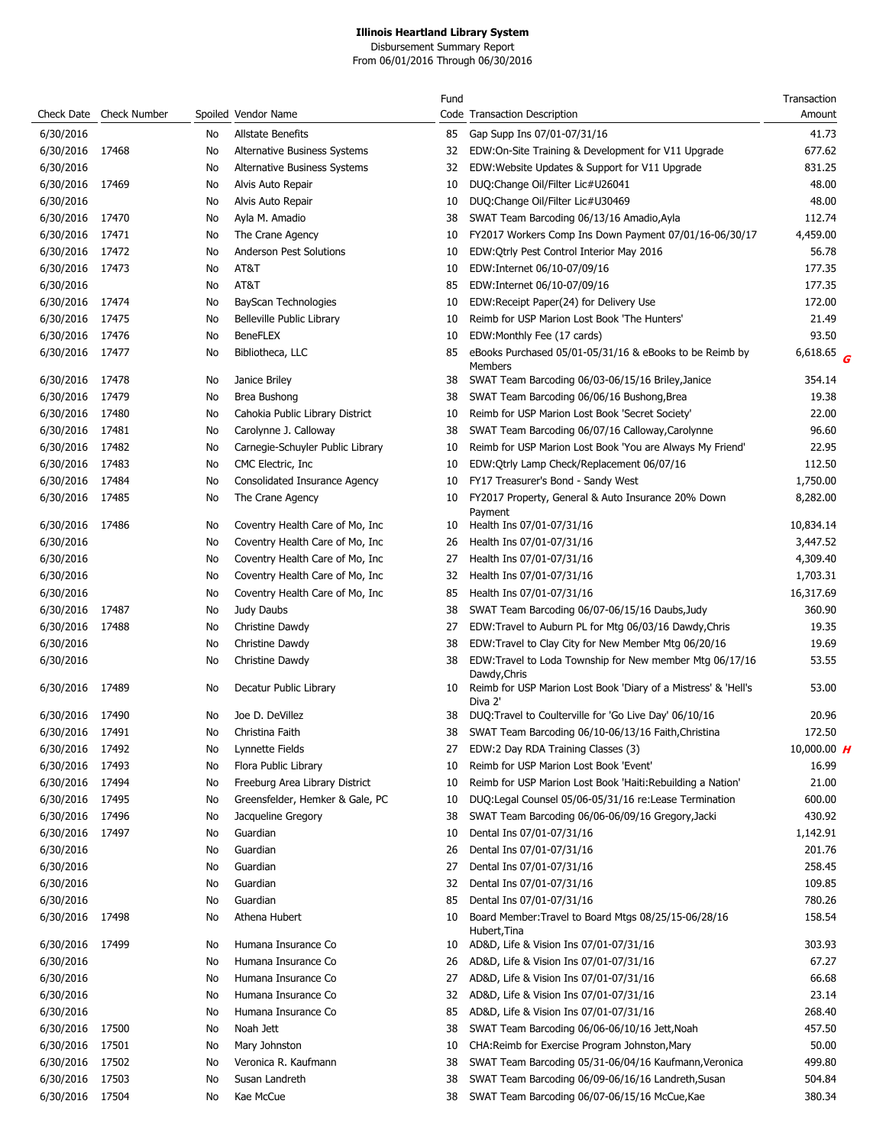|                 |                         |    |                                  | Fund |                                                                                           | Transaction   |
|-----------------|-------------------------|----|----------------------------------|------|-------------------------------------------------------------------------------------------|---------------|
|                 | Check Date Check Number |    | Spoiled Vendor Name              |      | Code Transaction Description                                                              | Amount        |
| 6/30/2016       |                         | No | Allstate Benefits                | 85   | Gap Supp Ins 07/01-07/31/16                                                               | 41.73         |
| 6/30/2016       | 17468                   | No | Alternative Business Systems     | 32   | EDW:On-Site Training & Development for V11 Upgrade                                        | 677.62        |
| 6/30/2016       |                         | No | Alternative Business Systems     | 32   | EDW: Website Updates & Support for V11 Upgrade                                            | 831.25        |
| 6/30/2016       | 17469                   | No | Alvis Auto Repair                | 10   | DUQ:Change Oil/Filter Lic#U26041                                                          | 48.00         |
| 6/30/2016       |                         | No | Alvis Auto Repair                | 10   | DUQ:Change Oil/Filter Lic#U30469                                                          | 48.00         |
| 6/30/2016       | 17470                   | No | Ayla M. Amadio                   | 38   | SWAT Team Barcoding 06/13/16 Amadio, Ayla                                                 | 112.74        |
| 6/30/2016       | 17471                   | No | The Crane Agency                 | 10   | FY2017 Workers Comp Ins Down Payment 07/01/16-06/30/17                                    | 4,459.00      |
| 6/30/2016       | 17472                   | No | Anderson Pest Solutions          | 10   | EDW: Qtrly Pest Control Interior May 2016                                                 | 56.78         |
| 6/30/2016       | 17473                   | No | AT&T                             | 10   | EDW:Internet 06/10-07/09/16                                                               | 177.35        |
| 6/30/2016       |                         | No | AT&T                             | 85   | EDW:Internet 06/10-07/09/16                                                               | 177.35        |
| 6/30/2016       | 17474                   | No | BayScan Technologies             | 10   | EDW:Receipt Paper(24) for Delivery Use                                                    | 172.00        |
| 6/30/2016 17475 |                         | No | Belleville Public Library        | 10   | Reimb for USP Marion Lost Book 'The Hunters'                                              | 21.49         |
| 6/30/2016 17476 |                         | No | <b>BeneFLEX</b>                  | 10   | EDW:Monthly Fee (17 cards)                                                                | 93.50         |
| 6/30/2016 17477 |                         | No | Bibliotheca, LLC                 | 85   | eBooks Purchased 05/01-05/31/16 & eBooks to be Reimb by<br>Members                        | 6,618.65 $G$  |
| 6/30/2016 17478 |                         | No | Janice Briley                    | 38   | SWAT Team Barcoding 06/03-06/15/16 Briley, Janice                                         | 354.14        |
| 6/30/2016       | 17479                   | No | Brea Bushong                     | 38   | SWAT Team Barcoding 06/06/16 Bushong, Brea                                                | 19.38         |
| 6/30/2016 17480 |                         | No | Cahokia Public Library District  | 10   | Reimb for USP Marion Lost Book 'Secret Society'                                           | 22.00         |
| 6/30/2016       | 17481                   | No | Carolynne J. Calloway            | 38   | SWAT Team Barcoding 06/07/16 Calloway, Carolynne                                          | 96.60         |
| 6/30/2016       | 17482                   | No | Carnegie-Schuyler Public Library | 10   | Reimb for USP Marion Lost Book 'You are Always My Friend'                                 | 22.95         |
| 6/30/2016       | 17483                   | No | CMC Electric, Inc.               | 10   | EDW:Qtrly Lamp Check/Replacement 06/07/16                                                 | 112.50        |
| 6/30/2016       | 17484                   | No | Consolidated Insurance Agency    | 10   | FY17 Treasurer's Bond - Sandy West                                                        | 1,750.00      |
| 6/30/2016 17485 |                         | No | The Crane Agency                 | 10   | FY2017 Property, General & Auto Insurance 20% Down                                        | 8,282.00      |
| 6/30/2016       | 17486                   | No | Coventry Health Care of Mo, Inc. | 10   | Payment<br>Health Ins 07/01-07/31/16                                                      | 10,834.14     |
| 6/30/2016       |                         | No | Coventry Health Care of Mo, Inc. | 26   | Health Ins 07/01-07/31/16                                                                 | 3,447.52      |
| 6/30/2016       |                         | No | Coventry Health Care of Mo, Inc. | 27   | Health Ins 07/01-07/31/16                                                                 | 4,309.40      |
| 6/30/2016       |                         | No | Coventry Health Care of Mo, Inc. | 32   | Health Ins 07/01-07/31/16                                                                 | 1,703.31      |
| 6/30/2016       |                         | No | Coventry Health Care of Mo, Inc. | 85   | Health Ins 07/01-07/31/16                                                                 | 16,317.69     |
| 6/30/2016       | 17487                   | No | Judy Daubs                       | 38   | SWAT Team Barcoding 06/07-06/15/16 Daubs, Judy                                            | 360.90        |
| 6/30/2016       | 17488                   | No | Christine Dawdy                  | 27   | EDW:Travel to Auburn PL for Mtg 06/03/16 Dawdy, Chris                                     | 19.35         |
| 6/30/2016       |                         | No | Christine Dawdy                  | 38   | EDW:Travel to Clay City for New Member Mtg 06/20/16                                       | 19.69         |
| 6/30/2016       |                         | No | Christine Dawdy                  | 38   | EDW:Travel to Loda Township for New member Mtg 06/17/16                                   | 53.55         |
| 6/30/2016       | 17489                   | No | Decatur Public Library           | 10   | Dawdy, Chris<br>Reimb for USP Marion Lost Book 'Diary of a Mistress' & 'Hell's<br>Diva 2' | 53.00         |
| 6/30/2016       | 17490                   | No | Joe D. DeVillez                  | 38   | DUQ:Travel to Coulterville for 'Go Live Day' 06/10/16                                     | 20.96         |
| 6/30/2016       | 17491                   | No | Christina Faith                  | 38   | SWAT Team Barcoding 06/10-06/13/16 Faith, Christina                                       | 172.50        |
| 6/30/2016       | 17492                   | No | Lynnette Fields                  | 27   | EDW:2 Day RDA Training Classes (3)                                                        | 10,000.00 $H$ |
| 6/30/2016       | 17493                   | No | Flora Public Library             | 10   | Reimb for USP Marion Lost Book 'Event'                                                    | 16.99         |
| 6/30/2016       | 17494                   | No | Freeburg Area Library District   | 10   | Reimb for USP Marion Lost Book 'Haiti: Rebuilding a Nation'                               | 21.00         |
| 6/30/2016       | 17495                   | No | Greensfelder, Hemker & Gale, PC  | 10   | DUQ:Legal Counsel 05/06-05/31/16 re:Lease Termination                                     | 600.00        |
| 6/30/2016       | 17496                   | No | Jacqueline Gregory               | 38   | SWAT Team Barcoding 06/06-06/09/16 Gregory, Jacki                                         | 430.92        |
| 6/30/2016       | 17497                   | No | Guardian                         | 10   | Dental Ins 07/01-07/31/16                                                                 | 1,142.91      |
| 6/30/2016       |                         | No | Guardian                         | 26   | Dental Ins 07/01-07/31/16                                                                 | 201.76        |
| 6/30/2016       |                         | No | Guardian                         | 27   | Dental Ins 07/01-07/31/16                                                                 | 258.45        |
| 6/30/2016       |                         | No | Guardian                         | 32   | Dental Ins 07/01-07/31/16                                                                 | 109.85        |
| 6/30/2016       |                         | No | Guardian                         | 85   | Dental Ins 07/01-07/31/16                                                                 | 780.26        |
| 6/30/2016       | 17498                   | No | Athena Hubert                    | 10   | Board Member: Travel to Board Mtgs 08/25/15-06/28/16                                      | 158.54        |
| 6/30/2016       | 17499                   | No | Humana Insurance Co              | 10   | Hubert, Tina<br>AD&D, Life & Vision Ins 07/01-07/31/16                                    | 303.93        |
| 6/30/2016       |                         | No | Humana Insurance Co              | 26   | AD&D, Life & Vision Ins 07/01-07/31/16                                                    | 67.27         |
| 6/30/2016       |                         | No | Humana Insurance Co              | 27   | AD&D, Life & Vision Ins 07/01-07/31/16                                                    | 66.68         |
| 6/30/2016       |                         | No | Humana Insurance Co              | 32   | AD&D, Life & Vision Ins 07/01-07/31/16                                                    | 23.14         |
| 6/30/2016       |                         | No | Humana Insurance Co              | 85   | AD&D, Life & Vision Ins 07/01-07/31/16                                                    | 268.40        |
| 6/30/2016       | 17500                   | No | Noah Jett                        | 38   | SWAT Team Barcoding 06/06-06/10/16 Jett, Noah                                             | 457.50        |
| 6/30/2016       | 17501                   | No | Mary Johnston                    | 10   | CHA:Reimb for Exercise Program Johnston, Mary                                             | 50.00         |
| 6/30/2016       | 17502                   | No | Veronica R. Kaufmann             | 38   | SWAT Team Barcoding 05/31-06/04/16 Kaufmann, Veronica                                     | 499.80        |
| 6/30/2016       | 17503                   | No | Susan Landreth                   | 38   | SWAT Team Barcoding 06/09-06/16/16 Landreth, Susan                                        | 504.84        |
| 6/30/2016 17504 |                         | No | Kae McCue                        | 38   | SWAT Team Barcoding 06/07-06/15/16 McCue, Kae                                             | 380.34        |
|                 |                         |    |                                  |      |                                                                                           |               |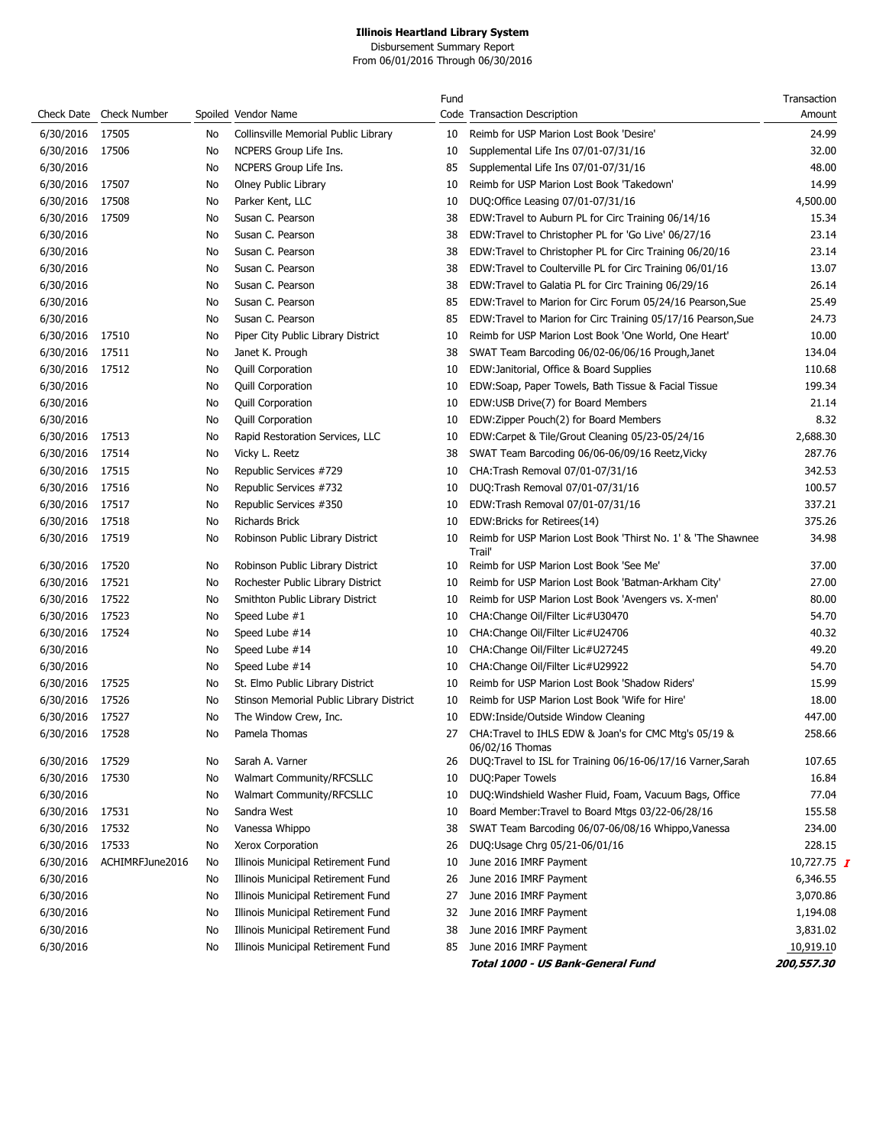|                 |                         |    |                                          | Fund |                                                                           | Transaction   |
|-----------------|-------------------------|----|------------------------------------------|------|---------------------------------------------------------------------------|---------------|
|                 | Check Date Check Number |    | Spoiled Vendor Name                      |      | Code Transaction Description                                              | Amount        |
| 6/30/2016       | 17505                   | No | Collinsville Memorial Public Library     | 10   | Reimb for USP Marion Lost Book 'Desire'                                   | 24.99         |
| 6/30/2016       | 17506                   | No | NCPERS Group Life Ins.                   | 10   | Supplemental Life Ins 07/01-07/31/16                                      | 32.00         |
| 6/30/2016       |                         | No | NCPERS Group Life Ins.                   | 85   | Supplemental Life Ins 07/01-07/31/16                                      | 48.00         |
| 6/30/2016       | 17507                   | No | Olney Public Library                     | 10   | Reimb for USP Marion Lost Book 'Takedown'                                 | 14.99         |
| 6/30/2016       | 17508                   | No | Parker Kent, LLC                         | 10   | DUQ:Office Leasing 07/01-07/31/16                                         | 4,500.00      |
| 6/30/2016       | 17509                   | No | Susan C. Pearson                         | 38   | EDW: Travel to Auburn PL for Circ Training 06/14/16                       | 15.34         |
| 6/30/2016       |                         | No | Susan C. Pearson                         | 38   | EDW:Travel to Christopher PL for 'Go Live' 06/27/16                       | 23.14         |
| 6/30/2016       |                         | No | Susan C. Pearson                         | 38   | EDW:Travel to Christopher PL for Circ Training 06/20/16                   | 23.14         |
| 6/30/2016       |                         | No | Susan C. Pearson                         | 38   | EDW:Travel to Coulterville PL for Circ Training 06/01/16                  | 13.07         |
| 6/30/2016       |                         | No | Susan C. Pearson                         | 38   | EDW: Travel to Galatia PL for Circ Training 06/29/16                      | 26.14         |
| 6/30/2016       |                         | No | Susan C. Pearson                         | 85   | EDW:Travel to Marion for Circ Forum 05/24/16 Pearson, Sue                 | 25.49         |
| 6/30/2016       |                         | No | Susan C. Pearson                         | 85   | EDW:Travel to Marion for Circ Training 05/17/16 Pearson, Sue              | 24.73         |
| 6/30/2016       | 17510                   | No | Piper City Public Library District       | 10   | Reimb for USP Marion Lost Book 'One World, One Heart'                     | 10.00         |
| 6/30/2016       | 17511                   | No | Janet K. Prough                          | 38   | SWAT Team Barcoding 06/02-06/06/16 Prough, Janet                          | 134.04        |
| 6/30/2016       | 17512                   | No | <b>Quill Corporation</b>                 | 10   | EDW: Janitorial, Office & Board Supplies                                  | 110.68        |
| 6/30/2016       |                         | No | <b>Quill Corporation</b>                 | 10   | EDW:Soap, Paper Towels, Bath Tissue & Facial Tissue                       | 199.34        |
| 6/30/2016       |                         | No | <b>Quill Corporation</b>                 | 10   | EDW:USB Drive(7) for Board Members                                        | 21.14         |
| 6/30/2016       |                         | No | <b>Quill Corporation</b>                 | 10   | EDW:Zipper Pouch(2) for Board Members                                     | 8.32          |
| 6/30/2016       | 17513                   | No | Rapid Restoration Services, LLC          | 10   | EDW:Carpet & Tile/Grout Cleaning 05/23-05/24/16                           | 2,688.30      |
| 6/30/2016       | 17514                   | No | Vicky L. Reetz                           | 38   | SWAT Team Barcoding 06/06-06/09/16 Reetz, Vicky                           | 287.76        |
| 6/30/2016       | 17515                   | No | Republic Services #729                   | 10   | CHA: Trash Removal 07/01-07/31/16                                         | 342.53        |
| 6/30/2016       | 17516                   | No | Republic Services #732                   | 10   | DUQ:Trash Removal 07/01-07/31/16                                          | 100.57        |
| 6/30/2016       | 17517                   | No | Republic Services #350                   | 10   | EDW:Trash Removal 07/01-07/31/16                                          | 337.21        |
| 6/30/2016       | 17518                   | No | <b>Richards Brick</b>                    | 10   | EDW: Bricks for Retirees (14)                                             | 375.26        |
| 6/30/2016 17519 |                         | No | Robinson Public Library District         | 10   | Reimb for USP Marion Lost Book 'Thirst No. 1' & 'The Shawnee<br>Trail'    | 34.98         |
| 6/30/2016       | 17520                   | No | Robinson Public Library District         | 10   | Reimb for USP Marion Lost Book 'See Me'                                   | 37.00         |
| 6/30/2016       | 17521                   | No | Rochester Public Library District        | 10   | Reimb for USP Marion Lost Book 'Batman-Arkham City'                       | 27.00         |
| 6/30/2016       | 17522                   | No | Smithton Public Library District         | 10   | Reimb for USP Marion Lost Book 'Avengers vs. X-men'                       | 80.00         |
| 6/30/2016       | 17523                   | No | Speed Lube #1                            | 10   | CHA: Change Oil/Filter Lic#U30470                                         | 54.70         |
| 6/30/2016       | 17524                   | No | Speed Lube #14                           | 10   | CHA:Change Oil/Filter Lic#U24706                                          | 40.32         |
| 6/30/2016       |                         | No | Speed Lube #14                           | 10   | CHA:Change Oil/Filter Lic#U27245                                          | 49.20         |
| 6/30/2016       |                         | No | Speed Lube #14                           | 10   | CHA:Change Oil/Filter Lic#U29922                                          | 54.70         |
| 6/30/2016       | 17525                   | No | St. Elmo Public Library District         | 10   | Reimb for USP Marion Lost Book 'Shadow Riders'                            | 15.99         |
| 6/30/2016       | 17526                   | No | Stinson Memorial Public Library District | 10   | Reimb for USP Marion Lost Book 'Wife for Hire'                            | 18.00         |
| 6/30/2016       | 17527                   | No | The Window Crew, Inc.                    | 10   | EDW:Inside/Outside Window Cleaning                                        | 447.00        |
| 6/30/2016       | 17528                   | No | Pamela Thomas                            | 27   | CHA: Travel to IHLS EDW & Joan's for CMC Mtg's 05/19 &<br>06/02/16 Thomas | 258.66        |
| 6/30/2016       | 17529                   | No | Sarah A. Varner                          | 26   | DUQ:Travel to ISL for Training 06/16-06/17/16 Varner, Sarah               | 107.65        |
| 6/30/2016       | 17530                   | No | <b>Walmart Community/RFCSLLC</b>         | 10   | DUQ:Paper Towels                                                          | 16.84         |
| 6/30/2016       |                         | No | Walmart Community/RFCSLLC                | 10   | DUQ: Windshield Washer Fluid, Foam, Vacuum Bags, Office                   | 77.04         |
| 6/30/2016       | 17531                   | No | Sandra West                              | 10   | Board Member: Travel to Board Mtgs 03/22-06/28/16                         | 155.58        |
| 6/30/2016       | 17532                   | No | Vanessa Whippo                           | 38   | SWAT Team Barcoding 06/07-06/08/16 Whippo, Vanessa                        | 234.00        |
| 6/30/2016       | 17533                   | No | Xerox Corporation                        | 26   | DUQ:Usage Chrg 05/21-06/01/16                                             | 228.15        |
| 6/30/2016       | ACHIMRFJune2016         | No | Illinois Municipal Retirement Fund       | 10   | June 2016 IMRF Payment                                                    | 10,727.75 $I$ |
| 6/30/2016       |                         | No | Illinois Municipal Retirement Fund       | 26   | June 2016 IMRF Payment                                                    | 6,346.55      |
| 6/30/2016       |                         | No | Illinois Municipal Retirement Fund       | 27   | June 2016 IMRF Payment                                                    | 3,070.86      |
| 6/30/2016       |                         | No | Illinois Municipal Retirement Fund       | 32   | June 2016 IMRF Payment                                                    | 1,194.08      |
| 6/30/2016       |                         | No | Illinois Municipal Retirement Fund       | 38   | June 2016 IMRF Payment                                                    | 3,831.02      |
| 6/30/2016       |                         | No | Illinois Municipal Retirement Fund       | 85   | June 2016 IMRF Payment                                                    | 10,919.10     |
|                 |                         |    |                                          |      | Total 1000 - US Bank-General Fund                                         | 200,557.30    |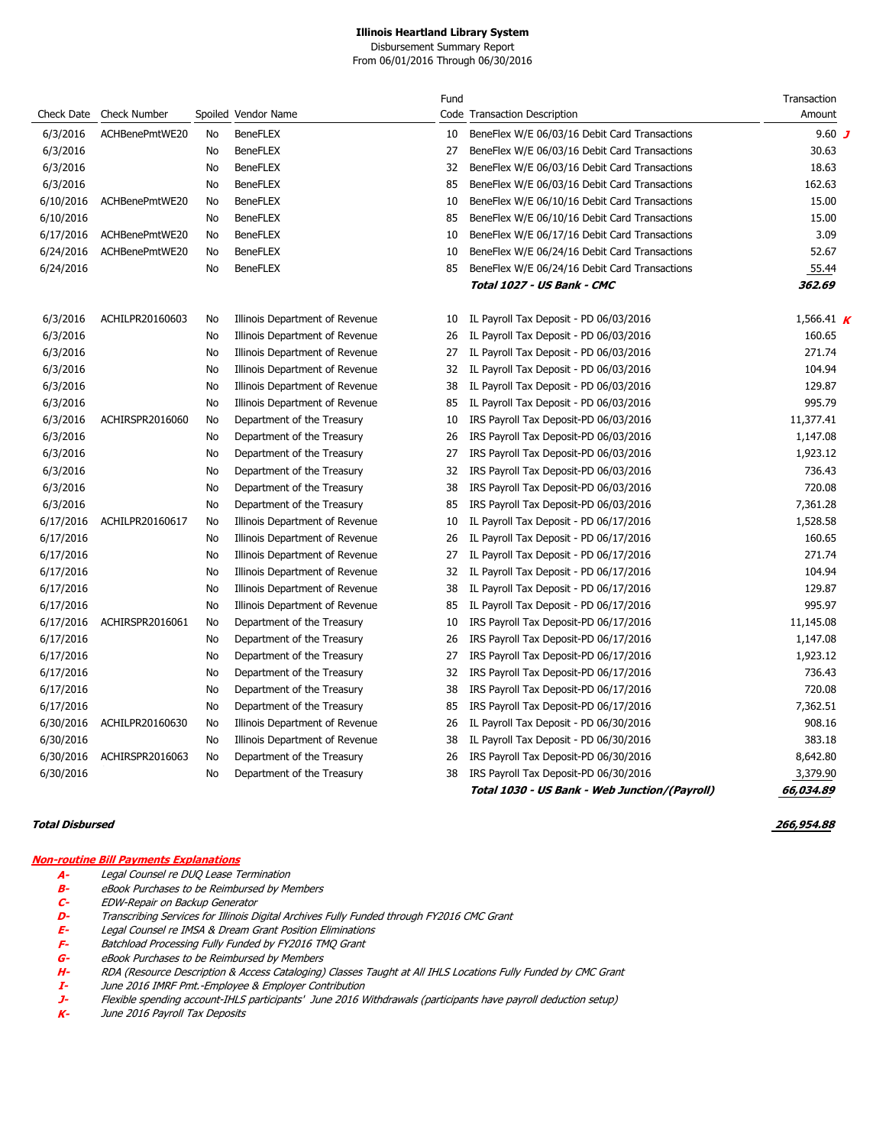Disbursement Summary Report From 06/01/2016 Through 06/30/2016

|            |                     |    |                                | Fund |                                               | Transaction  |
|------------|---------------------|----|--------------------------------|------|-----------------------------------------------|--------------|
| Check Date | <b>Check Number</b> |    | Spoiled Vendor Name            |      | Code Transaction Description                  | Amount       |
| 6/3/2016   | ACHBenePmtWE20      | No | <b>BeneFLEX</b>                | 10   | BeneFlex W/E 06/03/16 Debit Card Transactions | 9.60 $J$     |
| 6/3/2016   |                     | No | <b>BeneFLEX</b>                | 27   | BeneFlex W/E 06/03/16 Debit Card Transactions | 30.63        |
| 6/3/2016   |                     | No | <b>BeneFLEX</b>                | 32   | BeneFlex W/E 06/03/16 Debit Card Transactions | 18.63        |
| 6/3/2016   |                     | No | <b>BeneFLEX</b>                | 85   | BeneFlex W/E 06/03/16 Debit Card Transactions | 162.63       |
| 6/10/2016  | ACHBenePmtWE20      | No | <b>BeneFLEX</b>                | 10   | BeneFlex W/E 06/10/16 Debit Card Transactions | 15.00        |
| 6/10/2016  |                     | No | <b>BeneFLEX</b>                | 85   | BeneFlex W/E 06/10/16 Debit Card Transactions | 15.00        |
| 6/17/2016  | ACHBenePmtWE20      | No | <b>BeneFLEX</b>                | 10   | BeneFlex W/E 06/17/16 Debit Card Transactions | 3.09         |
| 6/24/2016  | ACHBenePmtWE20      | No | <b>BeneFLEX</b>                | 10   | BeneFlex W/E 06/24/16 Debit Card Transactions | 52.67        |
| 6/24/2016  |                     | No | <b>BeneFLEX</b>                | 85   | BeneFlex W/E 06/24/16 Debit Card Transactions | 55.44        |
|            |                     |    |                                |      | Total 1027 - US Bank - CMC                    | 362.69       |
| 6/3/2016   | ACHILPR20160603     | No | Illinois Department of Revenue | 10   | IL Payroll Tax Deposit - PD 06/03/2016        | 1,566.41 $K$ |
| 6/3/2016   |                     | No | Illinois Department of Revenue | 26   | IL Payroll Tax Deposit - PD 06/03/2016        | 160.65       |
| 6/3/2016   |                     | No | Illinois Department of Revenue | 27   | IL Payroll Tax Deposit - PD 06/03/2016        | 271.74       |
| 6/3/2016   |                     | No | Illinois Department of Revenue | 32   | IL Payroll Tax Deposit - PD 06/03/2016        | 104.94       |
| 6/3/2016   |                     | No | Illinois Department of Revenue | 38   | IL Payroll Tax Deposit - PD 06/03/2016        | 129.87       |
| 6/3/2016   |                     | No | Illinois Department of Revenue | 85   | IL Payroll Tax Deposit - PD 06/03/2016        | 995.79       |
| 6/3/2016   | ACHIRSPR2016060     | No | Department of the Treasury     | 10   | IRS Payroll Tax Deposit-PD 06/03/2016         | 11,377.41    |
| 6/3/2016   |                     | No | Department of the Treasury     | 26   | IRS Payroll Tax Deposit-PD 06/03/2016         | 1,147.08     |
| 6/3/2016   |                     | No | Department of the Treasury     | 27   | IRS Payroll Tax Deposit-PD 06/03/2016         | 1,923.12     |
| 6/3/2016   |                     | No | Department of the Treasury     | 32   | IRS Payroll Tax Deposit-PD 06/03/2016         | 736.43       |
| 6/3/2016   |                     | No | Department of the Treasury     | 38   | IRS Payroll Tax Deposit-PD 06/03/2016         | 720.08       |
| 6/3/2016   |                     | No | Department of the Treasury     | 85   | IRS Payroll Tax Deposit-PD 06/03/2016         | 7,361.28     |
| 6/17/2016  | ACHILPR20160617     | No | Illinois Department of Revenue | 10   | IL Payroll Tax Deposit - PD 06/17/2016        | 1,528.58     |
| 6/17/2016  |                     | No | Illinois Department of Revenue | 26   | IL Payroll Tax Deposit - PD 06/17/2016        | 160.65       |
| 6/17/2016  |                     | No | Illinois Department of Revenue | 27   | IL Payroll Tax Deposit - PD 06/17/2016        | 271.74       |
| 6/17/2016  |                     | No | Illinois Department of Revenue | 32   | IL Payroll Tax Deposit - PD 06/17/2016        | 104.94       |
| 6/17/2016  |                     | No | Illinois Department of Revenue | 38   | IL Payroll Tax Deposit - PD 06/17/2016        | 129.87       |
| 6/17/2016  |                     | No | Illinois Department of Revenue | 85   | IL Payroll Tax Deposit - PD 06/17/2016        | 995.97       |
| 6/17/2016  | ACHIRSPR2016061     | No | Department of the Treasury     | 10   | IRS Payroll Tax Deposit-PD 06/17/2016         | 11,145.08    |
| 6/17/2016  |                     | No | Department of the Treasury     | 26   | IRS Payroll Tax Deposit-PD 06/17/2016         | 1,147.08     |
| 6/17/2016  |                     | No | Department of the Treasury     | 27   | IRS Payroll Tax Deposit-PD 06/17/2016         | 1,923.12     |
| 6/17/2016  |                     | No | Department of the Treasury     | 32   | IRS Payroll Tax Deposit-PD 06/17/2016         | 736.43       |
| 6/17/2016  |                     | No | Department of the Treasury     | 38   | IRS Payroll Tax Deposit-PD 06/17/2016         | 720.08       |
| 6/17/2016  |                     | No | Department of the Treasury     | 85   | IRS Payroll Tax Deposit-PD 06/17/2016         | 7,362.51     |
| 6/30/2016  | ACHILPR20160630     | No | Illinois Department of Revenue | 26   | IL Payroll Tax Deposit - PD 06/30/2016        | 908.16       |
| 6/30/2016  |                     | No | Illinois Department of Revenue | 38   | IL Payroll Tax Deposit - PD 06/30/2016        | 383.18       |
| 6/30/2016  | ACHIRSPR2016063     | No | Department of the Treasury     | 26   | IRS Payroll Tax Deposit-PD 06/30/2016         | 8,642.80     |
| 6/30/2016  |                     | No | Department of the Treasury     | 38   | IRS Payroll Tax Deposit-PD 06/30/2016         | 3,379.90     |
|            |                     |    |                                |      | Total 1030 - US Bank - Web Junction/(Payroll) | 66,034.89    |

**Total Disbursed 266,954.88** 

#### **Non-routine Bill Payments Explanations**

- **A-** Legal Counsel re DUQ Lease Termination
- **B-** eBook Purchases to be Reimbursed by Members<br>**C-** EDW-Repair on Backup Generator
- **C-** EDW-Repair on Backup Generator
- **D-** Transcribing Services for Illinois Digital Archives Fully Funded through FY2016 CMC Grant<br>**E-** Legal Counsel re IMSA & Dream Grant Position Eliminations
- **E-** Legal Counsel re IMSA & Dream Grant Position Eliminations
- **F-** Batchload Processing Fully Funded by FY2016 TMQ Grant
- **G-** eBook Purchases to be Reimbursed by Members
- **H-** RDA (Resource Description & Access Cataloging) Classes Taught at All IHLS Locations Fully Funded by CMC Grant
- June 2016 IMRF Pmt.-Employee & Employer Contribution
- **J-** Flexible spending account-IHLS participants' June 2016 Withdrawals (participants have payroll deduction setup)
- June 2016 Payroll Tax Deposits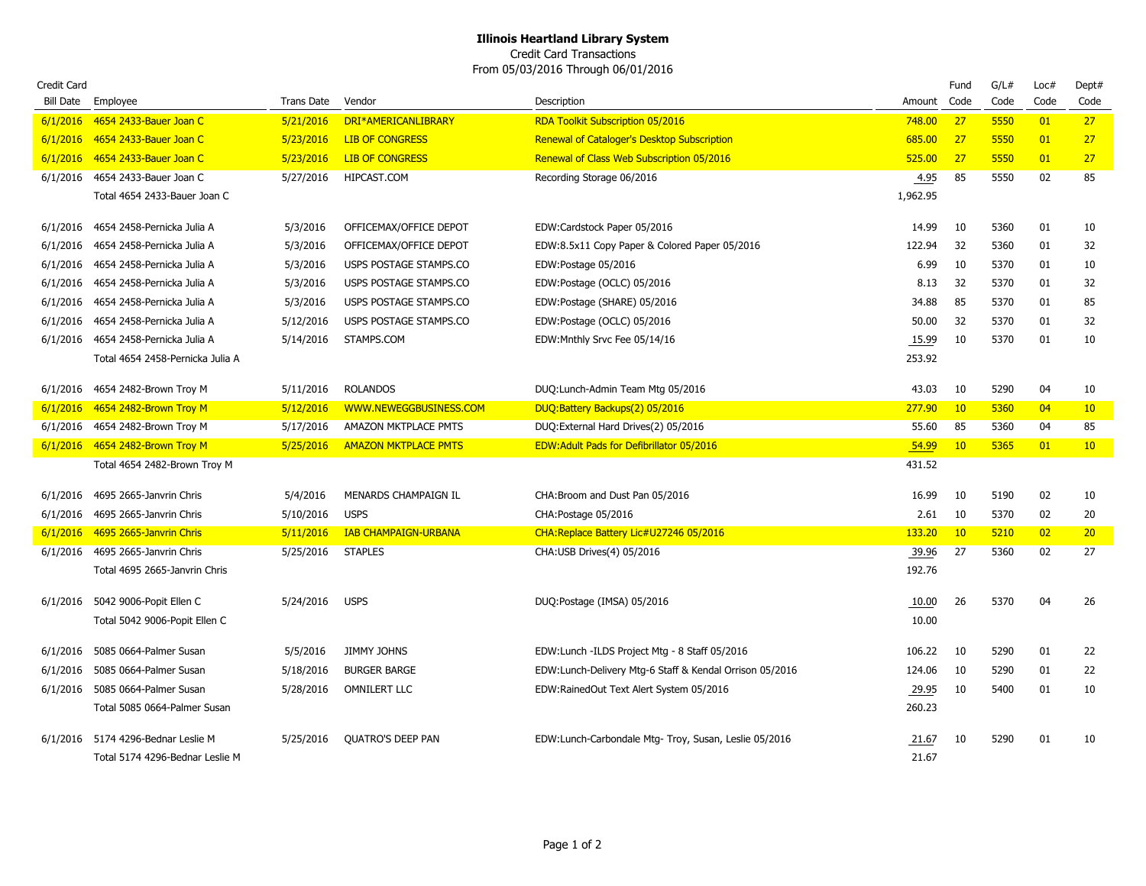Credit Card Transactions From 05/03/2016 Through 06/01/2016

| <b>Credit Card</b><br><b>Bill Date</b> | Employee                                                              | <b>Trans Date</b> | Vendor                      | Description                                             | Amount         | Fund<br>Code | G/L#<br>Code | Loc#<br>Code | Dept#<br>Code   |
|----------------------------------------|-----------------------------------------------------------------------|-------------------|-----------------------------|---------------------------------------------------------|----------------|--------------|--------------|--------------|-----------------|
|                                        | 6/1/2016 4654 2433-Bauer Joan C                                       | 5/21/2016         | DRI*AMERICANLIBRARY         | <b>RDA Toolkit Subscription 05/2016</b>                 | 748.00         | 27           | 5550         | 01           | 27              |
| 6/1/2016                               | 4654 2433-Bauer Joan C                                                | 5/23/2016         | <b>LIB OF CONGRESS</b>      | Renewal of Cataloger's Desktop Subscription             | 685.00         | 27           | 5550         | 01           | 27              |
| 6/1/2016                               | <b>4654 2433-Bauer Joan C</b>                                         | 5/23/2016         | <b>LIB OF CONGRESS</b>      | Renewal of Class Web Subscription 05/2016               | 525.00         | 27           | 5550         | 01           | 27              |
|                                        | 6/1/2016 4654 2433-Bauer Joan C                                       | 5/27/2016         | HIPCAST.COM                 | Recording Storage 06/2016                               | 4.95           | 85           | 5550         | 02           | 85              |
|                                        | Total 4654 2433-Bauer Joan C                                          |                   |                             |                                                         | 1,962.95       |              |              |              |                 |
| 6/1/2016                               | 4654 2458-Pernicka Julia A                                            | 5/3/2016          | OFFICEMAX/OFFICE DEPOT      | EDW:Cardstock Paper 05/2016                             | 14.99          | 10           | 5360         | 01           | 10              |
| 6/1/2016                               | 4654 2458-Pernicka Julia A                                            | 5/3/2016          | OFFICEMAX/OFFICE DEPOT      | EDW:8.5x11 Copy Paper & Colored Paper 05/2016           | 122.94         | 32           | 5360         | 01           | 32              |
| 6/1/2016                               | 4654 2458-Pernicka Julia A                                            | 5/3/2016          | USPS POSTAGE STAMPS.CO      | EDW:Postage 05/2016                                     | 6.99           | 10           | 5370         | 01           | 10              |
| 6/1/2016                               | 4654 2458-Pernicka Julia A                                            | 5/3/2016          | USPS POSTAGE STAMPS.CO      | EDW:Postage (OCLC) 05/2016                              | 8.13           | 32           | 5370         | 01           | 32              |
| 6/1/2016                               | 4654 2458-Pernicka Julia A                                            | 5/3/2016          | USPS POSTAGE STAMPS.CO      | EDW:Postage (SHARE) 05/2016                             | 34.88          | 85           | 5370         | 01           | 85              |
| 6/1/2016                               | 4654 2458-Pernicka Julia A                                            | 5/12/2016         | USPS POSTAGE STAMPS.CO      | EDW:Postage (OCLC) 05/2016                              | 50.00          | 32           | 5370         | 01           | 32              |
| 6/1/2016                               | 4654 2458-Pernicka Julia A                                            | 5/14/2016         | STAMPS.COM                  | EDW:Mnthly Srvc Fee 05/14/16                            | 15.99          | 10           | 5370         | 01           | 10              |
|                                        | Total 4654 2458-Pernicka Julia A                                      |                   |                             |                                                         | 253.92         |              |              |              |                 |
| 6/1/2016                               | 4654 2482-Brown Troy M                                                | 5/11/2016         | <b>ROLANDOS</b>             | DUQ:Lunch-Admin Team Mtg 05/2016                        | 43.03          | 10           | 5290         | 04           | 10              |
|                                        | 6/1/2016 4654 2482-Brown Troy M                                       | 5/12/2016         | WWW.NEWEGGBUSINESS.COM      | DUQ:Battery Backups(2) 05/2016                          | 277.90         | 10           | 5360         | 04           | 10              |
| 6/1/2016                               | 4654 2482-Brown Troy M                                                | 5/17/2016         | AMAZON MKTPLACE PMTS        | DUQ:External Hard Drives(2) 05/2016                     | 55.60          | 85           | 5360         | 04           | 85              |
|                                        | 6/1/2016 4654 2482-Brown Troy M                                       | 5/25/2016         | <b>AMAZON MKTPLACE PMTS</b> | <b>EDW:Adult Pads for Defibrillator 05/2016</b>         | 54.99          | 10           | 5365         | 01           | 10 <sup>°</sup> |
|                                        | Total 4654 2482-Brown Troy M                                          |                   |                             |                                                         | 431.52         |              |              |              |                 |
| 6/1/2016                               | 4695 2665-Janvrin Chris                                               | 5/4/2016          | MENARDS CHAMPAIGN IL        | CHA: Broom and Dust Pan 05/2016                         | 16.99          | 10           | 5190         | 02           | 10              |
| 6/1/2016                               | 4695 2665-Janvrin Chris                                               | 5/10/2016         | <b>USPS</b>                 | CHA: Postage 05/2016                                    | 2.61           | 10           | 5370         | 02           | 20              |
| 6/1/2016                               | 4695 2665-Janvrin Chris                                               | 5/11/2016         | <b>IAB CHAMPAIGN-URBANA</b> | CHA:Replace Battery Lic#U27246 05/2016                  | 133.20         | 10           | 5210         | 02           | 20              |
| 6/1/2016                               | 4695 2665-Janvrin Chris                                               | 5/25/2016         | <b>STAPLES</b>              | CHA:USB Drives(4) 05/2016                               | 39.96          | 27           | 5360         | 02           | 27              |
|                                        | Total 4695 2665-Janvrin Chris                                         |                   |                             |                                                         | 192.76         |              |              |              |                 |
|                                        | 6/1/2016 5042 9006-Popit Ellen C                                      | 5/24/2016         | <b>USPS</b>                 | DUQ:Postage (IMSA) 05/2016                              | 10.00          | 26           | 5370         | 04           | 26              |
|                                        | Total 5042 9006-Popit Ellen C                                         |                   |                             |                                                         | 10.00          |              |              |              |                 |
| 6/1/2016                               | 5085 0664-Palmer Susan                                                | 5/5/2016          | <b>JIMMY JOHNS</b>          | EDW:Lunch - ILDS Project Mtg - 8 Staff 05/2016          | 106.22         | 10           | 5290         | 01           | 22              |
| 6/1/2016                               | 5085 0664-Palmer Susan                                                | 5/18/2016         | <b>BURGER BARGE</b>         | EDW:Lunch-Delivery Mtg-6 Staff & Kendal Orrison 05/2016 | 124.06         | 10           | 5290         | 01           | 22              |
| 6/1/2016                               | 5085 0664-Palmer Susan                                                | 5/28/2016         | <b>OMNILERT LLC</b>         | EDW:RainedOut Text Alert System 05/2016                 | 29.95          | 10           | 5400         | 01           | 10              |
|                                        | Total 5085 0664-Palmer Susan                                          |                   |                             |                                                         | 260.23         |              |              |              |                 |
|                                        | 6/1/2016 5174 4296-Bednar Leslie M<br>Total 5174 4296-Bednar Leslie M | 5/25/2016         | <b>QUATRO'S DEEP PAN</b>    | EDW:Lunch-Carbondale Mtg- Troy, Susan, Leslie 05/2016   | 21.67<br>21.67 | 10           | 5290         | 01           | 10              |